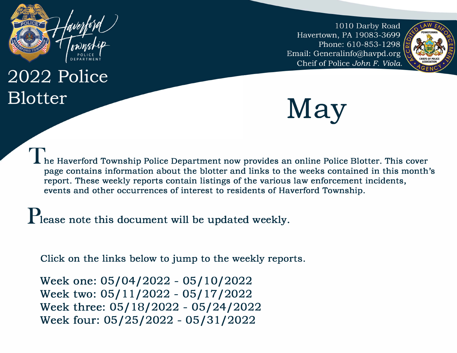

# 2022 Police **Blotter**

1010 Darby Road Havertown, PA 19083-3699 Phone: 610-853-1298 Email: Generalinfo@havpd.org Cheif of Police John F. Viola.





**The Haverford Township Police Department now provides an online Police Blotter. This cover page contains information about the blotter and links to the weeks contained in this month's report. These weekly reports contain listings of the various law enforcement incidents, events and other occurrences of interest to residents of Haverford Township.**

P<sub>lease</sub> note this document will be updated weekly.

Click on the links below to jump to the weekly reports.

[Week one: 05/04/2022 - 05/10/2022](#page-1-0)  [Week two: 05/11/2022 - 05/17/2022](#page-4-0) Week three: 05/18[/2022 - 05/24/2022](#page-7-0) [Week four: 05/25/2022 - 05/31/2022](#page-10-0)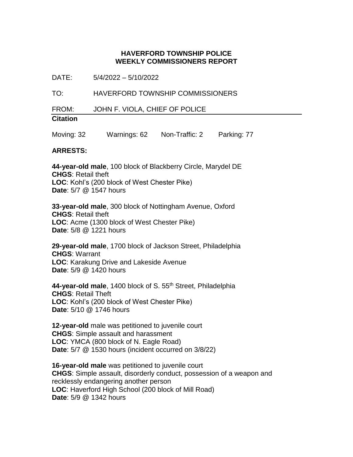<span id="page-1-0"></span>DATE: 5/4/2022 – 5/10/2022

TO: HAVERFORD TOWNSHIP COMMISSIONERS

FROM: JOHN F. VIOLA, CHIEF OF POLICE

# **Citation**

Moving: 32 Warnings: 62 Non-Traffic: 2 Parking: 77

#### **ARRESTS:**

**44-year-old male**, 100 block of Blackberry Circle, Marydel DE **CHGS**: Retail theft **LOC**: Kohl's (200 block of West Chester Pike) **Date**: 5/7 @ 1547 hours

**33-year-old male**, 300 block of Nottingham Avenue, Oxford **CHGS**: Retail theft **LOC**: Acme (1300 block of West Chester Pike) **Date**: 5/8 @ 1221 hours

**29-year-old male**, 1700 block of Jackson Street, Philadelphia **CHGS**: Warrant **LOC**: Karakung Drive and Lakeside Avenue **Date**: 5/9 @ 1420 hours

**44-year-old male**, 1400 block of S. 55th Street, Philadelphia **CHGS**: Retail Theft **LOC**: Kohl's (200 block of West Chester Pike) **Date**: 5/10 @ 1746 hours

**12-year-old** male was petitioned to juvenile court **CHGS**: Simple assault and harassment **LOC**: YMCA (800 block of N. Eagle Road) **Date**: 5/7 @ 1530 hours (incident occurred on 3/8/22)

**16-year-old male** was petitioned to juvenile court **CHGS**: Simple assault, disorderly conduct, possession of a weapon and recklessly endangering another person **LOC**: Haverford High School (200 block of Mill Road) **Date**: 5/9 @ 1342 hours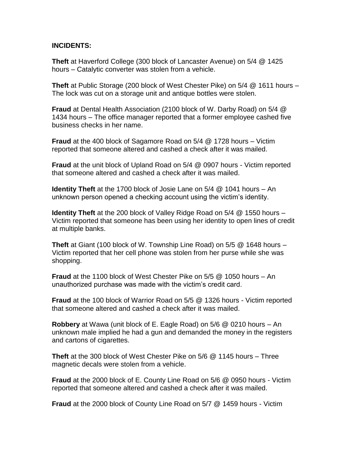#### **INCIDENTS:**

**Theft** at Haverford College (300 block of Lancaster Avenue) on 5/4 @ 1425 hours – Catalytic converter was stolen from a vehicle.

**Theft** at Public Storage (200 block of West Chester Pike) on 5/4 @ 1611 hours – The lock was cut on a storage unit and antique bottles were stolen.

**Fraud** at Dental Health Association (2100 block of W. Darby Road) on 5/4 @ 1434 hours – The office manager reported that a former employee cashed five business checks in her name.

**Fraud** at the 400 block of Sagamore Road on 5/4 @ 1728 hours – Victim reported that someone altered and cashed a check after it was mailed.

**Fraud** at the unit block of Upland Road on 5/4 @ 0907 hours - Victim reported that someone altered and cashed a check after it was mailed.

**Identity Theft** at the 1700 block of Josie Lane on 5/4 @ 1041 hours – An unknown person opened a checking account using the victim's identity.

**Identity Theft** at the 200 block of Valley Ridge Road on 5/4 @ 1550 hours – Victim reported that someone has been using her identity to open lines of credit at multiple banks.

**Theft** at Giant (100 block of W. Township Line Road) on 5/5 @ 1648 hours – Victim reported that her cell phone was stolen from her purse while she was shopping.

**Fraud** at the 1100 block of West Chester Pike on 5/5 @ 1050 hours – An unauthorized purchase was made with the victim's credit card.

**Fraud** at the 100 block of Warrior Road on 5/5 @ 1326 hours - Victim reported that someone altered and cashed a check after it was mailed.

**Robbery** at Wawa (unit block of E. Eagle Road) on 5/6 @ 0210 hours – An unknown male implied he had a gun and demanded the money in the registers and cartons of cigarettes.

**Theft** at the 300 block of West Chester Pike on 5/6 @ 1145 hours – Three magnetic decals were stolen from a vehicle.

**Fraud** at the 2000 block of E. County Line Road on 5/6 @ 0950 hours - Victim reported that someone altered and cashed a check after it was mailed.

**Fraud** at the 2000 block of County Line Road on 5/7 @ 1459 hours - Victim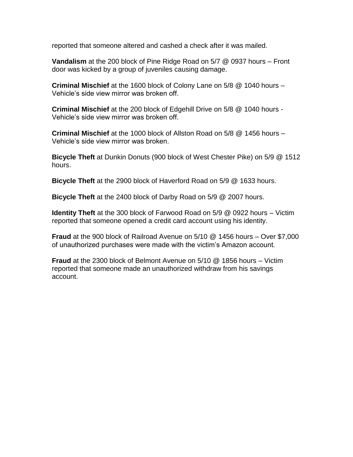reported that someone altered and cashed a check after it was mailed.

**Vandalism** at the 200 block of Pine Ridge Road on 5/7 @ 0937 hours – Front door was kicked by a group of juveniles causing damage.

**Criminal Mischief** at the 1600 block of Colony Lane on 5/8 @ 1040 hours – Vehicle's side view mirror was broken off.

**Criminal Mischief** at the 200 block of Edgehill Drive on 5/8 @ 1040 hours - Vehicle's side view mirror was broken off.

**Criminal Mischief** at the 1000 block of Allston Road on 5/8 @ 1456 hours – Vehicle's side view mirror was broken.

**Bicycle Theft** at Dunkin Donuts (900 block of West Chester Pike) on 5/9 @ 1512 hours.

**Bicycle Theft** at the 2900 block of Haverford Road on 5/9 @ 1633 hours.

**Bicycle Theft** at the 2400 block of Darby Road on 5/9 @ 2007 hours.

**Identity Theft** at the 300 block of Farwood Road on 5/9 @ 0922 hours – Victim reported that someone opened a credit card account using his identity.

**Fraud** at the 900 block of Railroad Avenue on 5/10 @ 1456 hours – Over \$7,000 of unauthorized purchases were made with the victim's Amazon account.

**Fraud** at the 2300 block of Belmont Avenue on 5/10 @ 1856 hours – Victim reported that someone made an unauthorized withdraw from his savings account.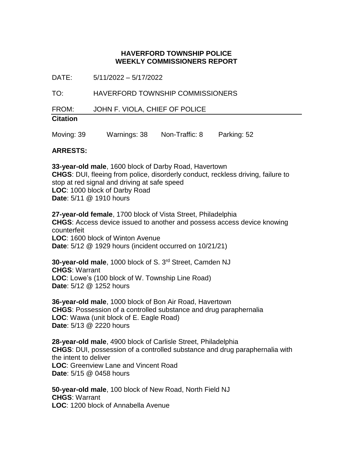<span id="page-4-0"></span>DATE: 5/11/2022 – 5/17/2022

TO: HAVERFORD TOWNSHIP COMMISSIONERS

FROM: JOHN F. VIOLA, CHIEF OF POLICE

## **Citation**

Moving: 39 Warnings: 38 Non-Traffic: 8 Parking: 52

## **ARRESTS:**

**33-year-old male**, 1600 block of Darby Road, Havertown **CHGS**: DUI, fleeing from police, disorderly conduct, reckless driving, failure to stop at red signal and driving at safe speed **LOC**: 1000 block of Darby Road **Date**: 5/11 @ 1910 hours

**27-year-old female**, 1700 block of Vista Street, Philadelphia **CHGS**: Access device issued to another and possess access device knowing counterfeit **LOC**: 1600 block of Winton Avenue **Date**: 5/12 @ 1929 hours (incident occurred on 10/21/21)

**30-year-old male**, 1000 block of S. 3rd Street, Camden NJ **CHGS**: Warrant **LOC**: Lowe's (100 block of W. Township Line Road) **Date**: 5/12 @ 1252 hours

**36-year-old male**, 1000 block of Bon Air Road, Havertown **CHGS**: Possession of a controlled substance and drug paraphernalia **LOC**: Wawa (unit block of E. Eagle Road) **Date**: 5/13 @ 2220 hours

**28-year-old male**, 4900 block of Carlisle Street, Philadelphia **CHGS**: DUI, possession of a controlled substance and drug paraphernalia with the intent to deliver **LOC**: Greenview Lane and Vincent Road **Date**: 5/15 @ 0458 hours

**50-year-old male**, 100 block of New Road, North Field NJ **CHGS**: Warrant **LOC**: 1200 block of Annabella Avenue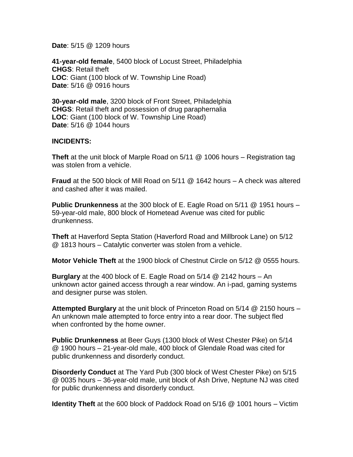**Date**: 5/15 @ 1209 hours

**41-year-old female**, 5400 block of Locust Street, Philadelphia **CHGS**: Retail theft **LOC**: Giant (100 block of W. Township Line Road) **Date**: 5/16 @ 0916 hours

**30-year-old male**, 3200 block of Front Street, Philadelphia **CHGS**: Retail theft and possession of drug paraphernalia **LOC**: Giant (100 block of W. Township Line Road) **Date**: 5/16 @ 1044 hours

#### **INCIDENTS:**

**Theft** at the unit block of Marple Road on 5/11 @ 1006 hours – Registration tag was stolen from a vehicle.

**Fraud** at the 500 block of Mill Road on 5/11 @ 1642 hours – A check was altered and cashed after it was mailed.

**Public Drunkenness** at the 300 block of E. Eagle Road on 5/11 @ 1951 hours – 59-year-old male, 800 block of Hometead Avenue was cited for public drunkenness.

**Theft** at Haverford Septa Station (Haverford Road and Millbrook Lane) on 5/12 @ 1813 hours – Catalytic converter was stolen from a vehicle.

**Motor Vehicle Theft** at the 1900 block of Chestnut Circle on 5/12 @ 0555 hours.

**Burglary** at the 400 block of E. Eagle Road on 5/14 @ 2142 hours – An unknown actor gained access through a rear window. An i-pad, gaming systems and designer purse was stolen.

**Attempted Burglary** at the unit block of Princeton Road on 5/14 @ 2150 hours – An unknown male attempted to force entry into a rear door. The subject fled when confronted by the home owner.

**Public Drunkenness** at Beer Guys (1300 block of West Chester Pike) on 5/14 @ 1900 hours – 21-year-old male, 400 block of Glendale Road was cited for public drunkenness and disorderly conduct.

**Disorderly Conduct** at The Yard Pub (300 block of West Chester Pike) on 5/15 @ 0035 hours – 36-year-old male, unit block of Ash Drive, Neptune NJ was cited for public drunkenness and disorderly conduct.

**Identity Theft** at the 600 block of Paddock Road on 5/16 @ 1001 hours – Victim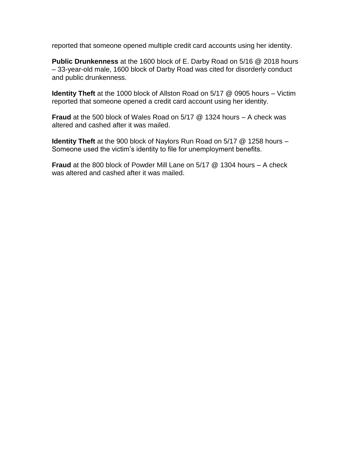reported that someone opened multiple credit card accounts using her identity.

**Public Drunkenness** at the 1600 block of E. Darby Road on 5/16 @ 2018 hours – 33-year-old male, 1600 block of Darby Road was cited for disorderly conduct and public drunkenness.

**Identity Theft** at the 1000 block of Allston Road on 5/17 @ 0905 hours – Victim reported that someone opened a credit card account using her identity.

**Fraud** at the 500 block of Wales Road on 5/17 @ 1324 hours – A check was altered and cashed after it was mailed.

**Identity Theft** at the 900 block of Naylors Run Road on 5/17 @ 1258 hours – Someone used the victim's identity to file for unemployment benefits.

**Fraud** at the 800 block of Powder Mill Lane on 5/17 @ 1304 hours – A check was altered and cashed after it was mailed.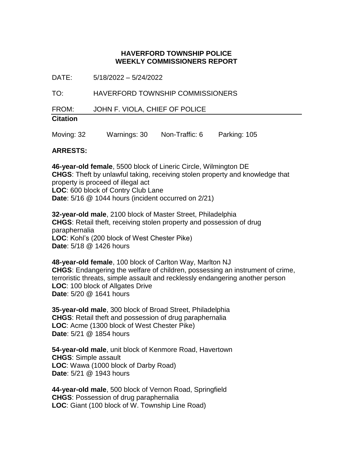<span id="page-7-0"></span>DATE: 5/18/2022 – 5/24/2022

TO: HAVERFORD TOWNSHIP COMMISSIONERS

FROM: JOHN F. VIOLA, CHIEF OF POLICE

## **Citation**

Moving: 32 Warnings: 30 Non-Traffic: 6 Parking: 105

#### **ARRESTS:**

**46-year-old female**, 5500 block of Lineric Circle, Wilmington DE **CHGS**: Theft by unlawful taking, receiving stolen property and knowledge that property is proceed of illegal act **LOC**: 600 block of Contry Club Lane **Date**: 5/16 @ 1044 hours (incident occurred on 2/21)

**32-year-old male**, 2100 block of Master Street, Philadelphia **CHGS**: Retail theft, receiving stolen property and possession of drug paraphernalia **LOC**: Kohl's (200 block of West Chester Pike) **Date**: 5/18 @ 1426 hours

**48-year-old female**, 100 block of Carlton Way, Marlton NJ **CHGS**: Endangering the welfare of children, possessing an instrument of crime, terroristic threats, simple assault and recklessly endangering another person **LOC**: 100 block of Allgates Drive **Date**: 5/20 @ 1641 hours

**35-year-old male**, 300 block of Broad Street, Philadelphia **CHGS**: Retail theft and possession of drug paraphernalia **LOC**: Acme (1300 block of West Chester Pike) **Date**: 5/21 @ 1854 hours

**54-year-old male**, unit block of Kenmore Road, Havertown **CHGS**: Simple assault **LOC**: Wawa (1000 block of Darby Road) **Date**: 5/21 @ 1943 hours

**44-year-old male**, 500 block of Vernon Road, Springfield **CHGS**: Possession of drug paraphernalia **LOC**: Giant (100 block of W. Township Line Road)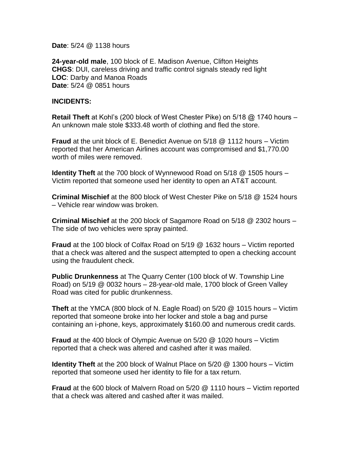**Date**: 5/24 @ 1138 hours

**24-year-old male**, 100 block of E. Madison Avenue, Clifton Heights **CHGS**: DUI, careless driving and traffic control signals steady red light **LOC**: Darby and Manoa Roads **Date**: 5/24 @ 0851 hours

#### **INCIDENTS:**

**Retail Theft** at Kohl's (200 block of West Chester Pike) on 5/18 @ 1740 hours – An unknown male stole \$333.48 worth of clothing and fled the store.

**Fraud** at the unit block of E. Benedict Avenue on 5/18 @ 1112 hours – Victim reported that her American Airlines account was compromised and \$1,770.00 worth of miles were removed.

**Identity Theft** at the 700 block of Wynnewood Road on 5/18 @ 1505 hours – Victim reported that someone used her identity to open an AT&T account.

**Criminal Mischief** at the 800 block of West Chester Pike on 5/18 @ 1524 hours – Vehicle rear window was broken.

**Criminal Mischief** at the 200 block of Sagamore Road on 5/18 @ 2302 hours – The side of two vehicles were spray painted.

**Fraud** at the 100 block of Colfax Road on 5/19 @ 1632 hours – Victim reported that a check was altered and the suspect attempted to open a checking account using the fraudulent check.

**Public Drunkenness** at The Quarry Center (100 block of W. Township Line Road) on 5/19 @ 0032 hours – 28-year-old male, 1700 block of Green Valley Road was cited for public drunkenness.

**Theft** at the YMCA (800 block of N. Eagle Road) on 5/20 @ 1015 hours – Victim reported that someone broke into her locker and stole a bag and purse containing an i-phone, keys, approximately \$160.00 and numerous credit cards.

**Fraud** at the 400 block of Olympic Avenue on 5/20 @ 1020 hours – Victim reported that a check was altered and cashed after it was mailed.

**Identity Theft** at the 200 block of Walnut Place on 5/20 @ 1300 hours – Victim reported that someone used her identity to file for a tax return.

**Fraud** at the 600 block of Malvern Road on 5/20 @ 1110 hours – Victim reported that a check was altered and cashed after it was mailed.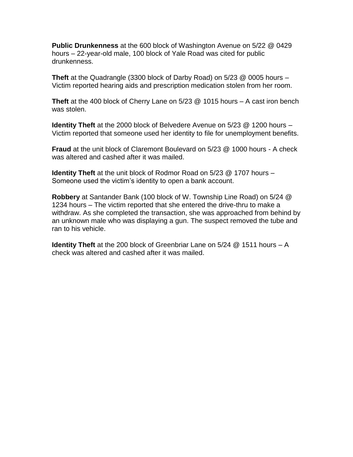**Public Drunkenness** at the 600 block of Washington Avenue on 5/22 @ 0429 hours – 22-year-old male, 100 block of Yale Road was cited for public drunkenness.

**Theft** at the Quadrangle (3300 block of Darby Road) on 5/23 @ 0005 hours – Victim reported hearing aids and prescription medication stolen from her room.

**Theft** at the 400 block of Cherry Lane on 5/23 @ 1015 hours – A cast iron bench was stolen.

**Identity Theft** at the 2000 block of Belvedere Avenue on 5/23 @ 1200 hours – Victim reported that someone used her identity to file for unemployment benefits.

**Fraud** at the unit block of Claremont Boulevard on 5/23 @ 1000 hours - A check was altered and cashed after it was mailed.

**Identity Theft** at the unit block of Rodmor Road on 5/23 @ 1707 hours – Someone used the victim's identity to open a bank account.

**Robbery** at Santander Bank (100 block of W. Township Line Road) on 5/24 @ 1234 hours – The victim reported that she entered the drive-thru to make a withdraw. As she completed the transaction, she was approached from behind by an unknown male who was displaying a gun. The suspect removed the tube and ran to his vehicle.

**Identity Theft** at the 200 block of Greenbriar Lane on 5/24 @ 1511 hours – A check was altered and cashed after it was mailed.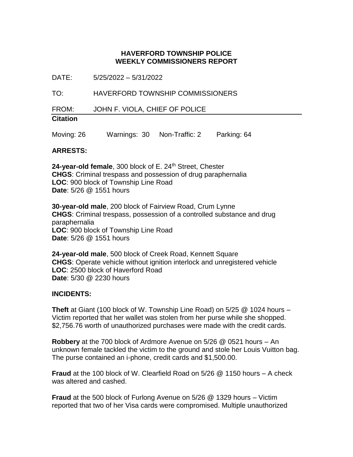<span id="page-10-0"></span>DATE: 5/25/2022 – 5/31/2022

TO: HAVERFORD TOWNSHIP COMMISSIONERS

FROM: JOHN F. VIOLA, CHIEF OF POLICE

## **Citation**

Moving: 26 Warnings: 30 Non-Traffic: 2 Parking: 64

#### **ARRESTS:**

24-year-old female, 300 block of E. 24<sup>th</sup> Street, Chester **CHGS**: Criminal trespass and possession of drug paraphernalia **LOC**: 900 block of Township Line Road **Date**: 5/26 @ 1551 hours

**30-year-old male**, 200 block of Fairview Road, Crum Lynne **CHGS**: Criminal trespass, possession of a controlled substance and drug paraphernalia **LOC**: 900 block of Township Line Road **Date**: 5/26 @ 1551 hours

**24-year-old male**, 500 block of Creek Road, Kennett Square **CHGS**: Operate vehicle without ignition interlock and unregistered vehicle **LOC**: 2500 block of Haverford Road **Date**: 5/30 @ 2230 hours

#### **INCIDENTS:**

**Theft** at Giant (100 block of W. Township Line Road) on 5/25 @ 1024 hours – Victim reported that her wallet was stolen from her purse while she shopped. \$2,756.76 worth of unauthorized purchases were made with the credit cards.

**Robbery** at the 700 block of Ardmore Avenue on 5/26 @ 0521 hours – An unknown female tackled the victim to the ground and stole her Louis Vuitton bag. The purse contained an i-phone, credit cards and \$1,500.00.

**Fraud** at the 100 block of W. Clearfield Road on 5/26 @ 1150 hours – A check was altered and cashed.

**Fraud** at the 500 block of Furlong Avenue on 5/26 @ 1329 hours – Victim reported that two of her Visa cards were compromised. Multiple unauthorized